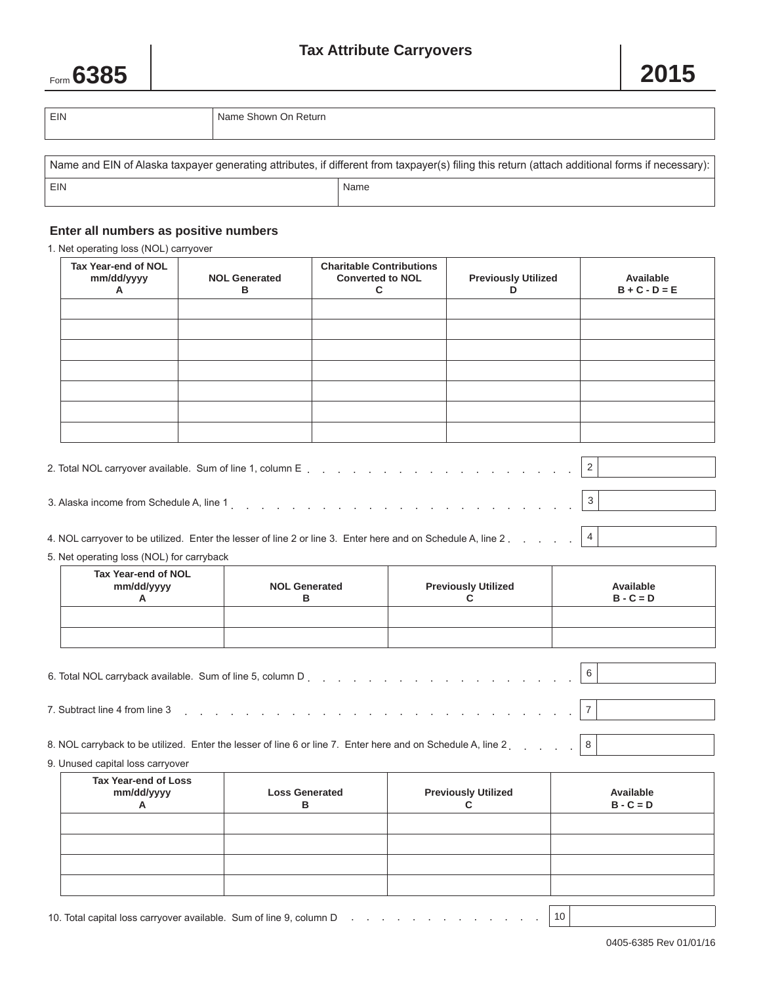## **Tax Attribute Carryovers**



| EIN | Name Shown On Return |
|-----|----------------------|
|     |                      |

| Name and EIN of Alaska taxpayer generating attributes, if different from taxpayer(s) filing this return (attach additional forms if necessary): |      |  |  |  |  |
|-------------------------------------------------------------------------------------------------------------------------------------------------|------|--|--|--|--|
| EIN                                                                                                                                             | Name |  |  |  |  |

## **Enter all numbers as positive numbers**

1. Net operating loss (NOL) carryover

| Tax Year-end of NOL<br>mm/dd/yyyy<br>$\mathsf{A}$ | <b>NOL Generated</b><br>в | <b>Charitable Contributions</b><br><b>Converted to NOL</b> | <b>Previously Utilized</b> | Available<br>$B + C - D = E$ |
|---------------------------------------------------|---------------------------|------------------------------------------------------------|----------------------------|------------------------------|
|                                                   |                           |                                                            |                            |                              |
|                                                   |                           |                                                            |                            |                              |
|                                                   |                           |                                                            |                            |                              |
|                                                   |                           |                                                            |                            |                              |
|                                                   |                           |                                                            |                            |                              |
|                                                   |                           |                                                            |                            |                              |

| 3. Alaska income from Schedule A, line 1 and the contract of the contract of the contract of the contract of the contract of the contract of the contract of the contract of the contract of the contract of the contract of t |  |
|--------------------------------------------------------------------------------------------------------------------------------------------------------------------------------------------------------------------------------|--|
|                                                                                                                                                                                                                                |  |

| 4. NOL carryover to be utilized. Enter the lesser of line 2 or line 3. Enter here and on Schedule A, line 2. 4 |  |  |
|----------------------------------------------------------------------------------------------------------------|--|--|
|----------------------------------------------------------------------------------------------------------------|--|--|

|  |  |  |  |  |  | 5. Net operating loss (NOL) for carryback |
|--|--|--|--|--|--|-------------------------------------------|
|--|--|--|--|--|--|-------------------------------------------|

| Tax Year-end of NOL<br>mm/dd/yyyy | <b>NOL Generated</b><br>в | <b>Previously Utilized</b> | Available<br>$B - C = D$ |
|-----------------------------------|---------------------------|----------------------------|--------------------------|
|                                   |                           |                            |                          |
|                                   |                           |                            |                          |

| 7. Subtract line 4 from line 3 $\begin{bmatrix} 2 \\ 1 \end{bmatrix}$ . $\begin{bmatrix} 1 \\ 2 \end{bmatrix}$ . $\begin{bmatrix} 1 \\ 2 \end{bmatrix}$ . $\begin{bmatrix} 2 \\ 3 \end{bmatrix}$ |  |  |  |  |  |  |  |  |
|--------------------------------------------------------------------------------------------------------------------------------------------------------------------------------------------------|--|--|--|--|--|--|--|--|
|                                                                                                                                                                                                  |  |  |  |  |  |  |  |  |

8. NOL carryback to be utilized. Enter the lesser of line 6 or line 7. Enter here and on Schedule A, line 2. . . . . 8

9. Unused capital loss carryover

| Tax Year-end of Loss<br>mm/dd/yyyy | <b>Loss Generated</b> | <b>Previously Utilized</b> | Available<br>$B - C = D$ |
|------------------------------------|-----------------------|----------------------------|--------------------------|
|                                    |                       |                            |                          |
|                                    |                       |                            |                          |
|                                    |                       |                            |                          |
|                                    |                       |                            |                          |

10. Total capital loss carryover available. Sum of line 9, column D  $\ldots$ , . . . . . . . . . . . . . . . 10